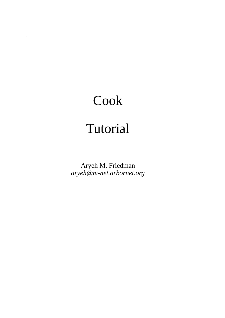# Cook Tutorial

.

Aryeh M. Friedman *aryeh@m-net.arbornet.org*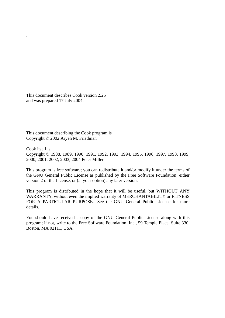This document describes Cook version 2.25 and was prepared 17 July 2004.

.

This document describing the Cook program is Copyright © 2002 Aryeh M. Friedman

Cook itself is Copyright © 1988, 1989, 1990, 1991, 1992, 1993, 1994, 1995, 1996, 1997, 1998, 1999, 2000, 2001, 2002, 2003, 2004 Peter Miller

This program is free software; you can redistribute it and/or modify it under the terms of the GNU General Public License as published by the Free Software Foundation; either version 2 of the License, or (at your option) any later version.

This program is distributed in the hope that it will be useful, but WITHOUT ANY WARRANTY; without even the implied warranty of MERCHANTABILITY or FITNESS FOR A PARTICULAR PURPOSE. See the GNU General Public License for more details.

You should have received a copy of the GNU General Public License along with this program; if not, write to the Free Software Foundation, Inc., 59 Temple Place, Suite 330, Boston, MA 02111, USA.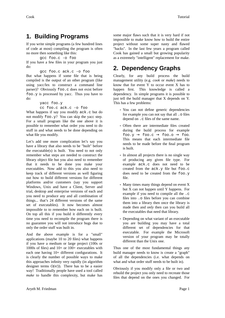#### **1. Building Programs**

If you write simple programs (a few hundred lines of code at most) compiling the program is often no more then something like this:

gcc foo.c -o foo

If you have a few files in your program you just do:

gcc foo.c ack.c -o foo

But what happens if some file that is being compiled is the output of an other program (like using yacc/lex to construct a command line parser)? Obviously foo.c does not exist before foo.y is processed by yacc. Thus you have to do:

> yacc foo.y cc foo.c ack.c -o foo

What happens if say you modify ack.c but do not modify foo.y? You can skip the yacc step. For a small program like the one above it is possible to remember what order you need to do stuff in and what needs to be done depending on what file you modify.

Let's add one more complication let's say you have a library that also needs to be "built" before the executable(s) is built. You need to not only remember what steps are needed to construct the library object file but you also need to remember that it needs to be done you make your executables. Now add to this you also need to keep track of different versions as well figuring out how to build different versions for different platforms and/or customers (say you support Windows, Unix and have a Client, Server and trial, desktop and enterprise versions of each and you need to produce any and all combination of things... that's 24 different versions of the same set of executables). It now becomes almost impossible to to remember how each on is built. On top all this if you build it differently every time you need to recompile the program there is no guarantee you will not introduce bugs due to only the order stuff was built in.

And the above example is for a "small" applications (maybe 10 to 20 files) what happens if you have a medium or large project (100s or 1000s of files) and 10+ or 100+ executables with each one having 10+ different configurations. It is clearly the number of possible ways to make this approaches infinity very rapidly (in algorithm designer terms  $O(n!)$ . There has to be a easier way! Traditionally people have used a tool called *make* to handle this complexity, but make has some major flaws such that it is very hard if not impossible to make know how to build the entire project without some super nasty and flawed "hacks". In the last few years a program called Cook has gained a small but growing popularity as a extremely "intelligent" replacement for make.

# **2. Dependency Graphs**

Clearly, for any build process the build management utility (e.g. *cook* or *make*) needs to know that for event Y to occur event X has to happen first. This knowledge is called a dependency. In simple programs it is possible to just tell the build manager that X depends on Y. This has a few problems:

- You can not define generic dependencies for example you can not say that all .o files depend on .c files of the same name.
- Often there are intermediate files created during the build process for example  $f \circ \sigma \cdot y \to f \circ \sigma \cdot c \to f \circ \sigma \cdot c \to f \circ \sigma$ . This means that each intermediate file needs to be made before the final program is built.
- In almost all projects there is no single way of producing any given file type. For example ack.c does not need to be created from the ack.y file but foo.c does need to be created from the foo.y file.
- Many times many things depend on event X but  $X$  can not happen until  $Y$  happens. For example if you need to compile all the .c files into .o files before you can combine them into a library then once the library is made then and *only* then can you build all the executables that need that library.
- Depending on what variant of an executable you are building you may have a total different set of dependencies for that executable. For example the Microsoft version of your program may be totally different than the Unix one.

Thus one of the most fundamental things any build manager needs to know is create a "graph" of all the dependencies (i.e. what depends on what and what order stuff needs to be built in).

Obviously if you modify only a file or two and rebuild the project you only need to recreate those files that depend on the ones you changed. For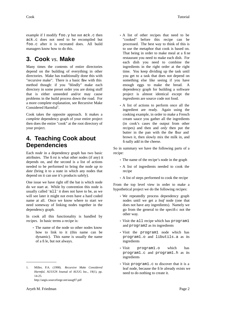example if I modify foo.y but not ack.c then ack.c does not need to be recompiled but foo.c after it is recreated does. All build managers know how to do this.

## **3. Cook** *vs.* **Make**

Many times the contents of entire directories depend on the building of everything in other directories. Make has traditionally done this with "recursive make". There is a basic flaw with this method though: if you "blindly" make each directory in some preset order you are doing stuff that is either unneeded and/or may cause problems in the build process down the road. For a more complete explanation, see Recursive Make Considered Harmful<sup>1</sup>.

Cook takes the opposite approach. It makes a *complete* dependency graph of your entire project then does the entire "cook" at the root directory of your project.

### **4. Teaching Cook about Dependencies**

Each *node* in a dependency graph has two basic attributes. The first is what other nodes (if any) it depends on, and the second is a list of actions needed to be performed to bring the node *up to date* (bring it to a state in which any nodes that depend on it can use it's products safely).

One issue we have right off the bat is which node do we start at. While by convention this node is usually called 'all' it does not have to be, as we will see later it might not even have a hard coded name at all. Once we know where to start we need someway of linking nodes together in the dependency graph.

In cook all this functionality is handled by *recipes*. In basic terms a recipe is:

• The name of the node so other nodes know how to link to it (this name can be dynamic). This name is usually the name of a file, but not always.

- A list of other recipes that need to be "cooked" before this recipe can be processed. The best way to think of this is to use the metaphor that cook is based on. That being in order to make meal at a fine restaurant you need to make each dish. For each dish you need to combine the ingredients in the right order at the right time. You keep dividing up the task until you get to a task that does not depend on something else like seeing if you have enough eggs to make the bread. A dependency graph for building a software project is almost identical except the *ingredients* are source code not food.
- A list of actions to perform once all the ingredient are ready. Again using the cooking example, in order to make a French cream sauce you gather all the ingredients (in cook's cases the output from other recipes) and then and *only* then put the butter in the pan with the the fbur and brown it, then slowly mix the milk in, and finally add in the cheese.

So in summary we have the following parts of a recipe:

- The name of the recipe's node in the graph
- A list of ingredients needed to cook the recipe
- A list of steps performed to cook the recipe

From the top level view in order to make a hypothetical project we do the following recipes:

- We repeatedly process dependency graph nodes until we get a *leaf* node (one that does not have any ingredients). Namely we go from the general to the specific not the other way.
- Visit the all recipe which has program1 and program2 as its ingredients
- Visit the program1 node which has program1.o and libutils.a as its ingredients
- Visit program1.o which has program1.c and program1.h as its ingredients
- Visit program1.c to discover that it is a leaf node, because the file already exists we need to do nothing to create it.

<sup>1.</sup> Miller, P.A. (1998). *Recursive Make Considered Harmful*, AUUGN Journal of AUUG Inc., 19(1), pp. 14-25. http://aegis.sourceforge.net/auug97.pdf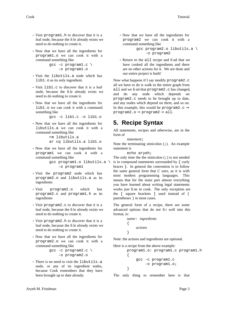- Visit program1. h to discover that it is a leaf node, because the file already exists we need to do nothing to create it.
- Now that we have all the ingredients for program1.o we can cook it with a command something like

 $\text{qcc}$  -c programl.c \ -o program1.o

- Visit the libutils.a node which has lib1.o as its only ingredient.
- Visit lib1.c to discover that it is a leaf node, because the file already exists we need to do nothing to create it.
- Now that we have all the ingredients for lib1.o we can cook it with a command something like

gcc -c lib1.c -o lib1.o

• Now that we have all the ingredients for libutils.a we can cook it with a command something like

rm libutils.a ar cq libutils.a lib1.o

• Now that we have all the ingredients for program1 we can cook it with a command something like

```
gcc program1.o libutils.a \
    -o program1
```
- Visit the program2 node which has program2.o and libutils.a as its ingredients
- Visit program2.o which has program2.c and program1.h as its ingredients
- Visit program2.c to discover that it is a leaf node, because the file already exists we need to do nothing to create it.
- Visit program2.h to discover that it is a leaf node, because the file already exists we need to do nothing to create it.
- Now that we have all the ingredients for program2.o we can cook it with a command something like

gcc -c program2.c \ -o program2.o

• There is no need to visit the libutils.a node, or any of its ingredient nodes, because Cook remembers that they have been brought up to date already.

• Now that we have all the ingredients for program2 we can cook it with a command something like gcc program2.o libutils.a \

-o program2

• Return to the all recipe and find that we have cooked all the ingredients and there are no other actions for it. We are done and our entire project is built!

Now what happens if I say modify program2.c all we have to do is walk to the entire graph from all and we find that program2.c has changed, and do any node which depends on program2.c needs to be brought up to date, and any nodes which depend on *them*, and so on. In this example, this would be program2.c  $\rightarrow$  $program2.o \rightarrow program2 \rightarrow all.$ 

#### **5. Recipe Syntax**

All statements, recipes and otherwise, are in the form of

*statement*;

Note the terminating simicolon  $(i)$ . An example statement is

echo aryeh;

The only time the the simicolon  $(i)$  is not needed is in compound statements surrounded by { curly braces }. In general the convention is to follow the same general form that C uses, as it is with most modern programming languages. This means that for the main part almost everything you have learned about writing legal statements works just fine in cook. The only exception are the [ square brackets ] used instead of ( parentheses ) in most cases.

The general form of a recipe, there are some advanced options that do not fit well into this format, is:

```
name: ingredients
{
     actions
}
```
Note: the actions and ingredients are optional.

Here is a recipe from the above example:

```
program1.o: program1.c program1.h
{
    gcc -c program1.c
        -o program1.o;
}
```
The only thing to remember here is that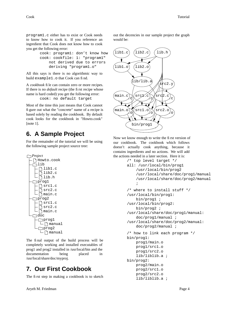program1.c either has to exist or Cook needs to know how to cook it. If you reference an ingredient that Cook does not know how to cook you get the following error:

```
cook: program1: don't know how
cook: cookfile: 1: "program1"
    not derived due to errors
    deriving "program1.o"
```
All this says is there is no algorithmic way to build example1.o that Cook can find.

A *cookbook* file can contain zero or more recipes. If there is no *default* recipe (the first recipe whose name is hard coded) you get the following error: cook: no default target

Most of the time this just means that Cook cannot figure out what the "concrete" name of a recipe is based solely by reading the cookbook. By default cook looks for the cookbook in "Howto.cook" [note 1].

### **6. A Sample Project**

For the remainder of the tutorial we will be using the following sample project source tree:

```
Project
  F Howto.cook
    lib
      \lceil \text{lib1.c} \rceillib2.c
      lib.h
   prog1
      src1.c
        src2.c
       nain.c
   prog2
        src1.c
        src2.c
       main.c
     doc
      prog1
       \mathsf{L} \cap \mathsf{manual}prog2
       \mathsf{L} \cap \mathsf{manual}
```
The final output of the build process will be completely working and installed executables of prog1 and prog2 installed in /usr/local/bin and the documentation being placed in /usr/local/share/doc/myproj.

## **7. Our First Cookbook**

The first step in making a cookbook is to sketch

Aryeh M. Friedman Page 4

out the decencies in our sample project the graph would be:



Now we know enough to write the first version of our cookbook. The cookbook which follows doesn't actually cook anything, because it contains ingredients and no actions. We will add the actions needed in a later section. Here it is:

```
/* top level target */
all: /usr/local/bin/prog1
    /usr/local/bin/prog2
    /usr/local/share/doc/prog1/manual
    /usr/local/share/doc/prog2/manual
    ;
/* where to install stuff */
/usr/local/bin/prog1:
    bin/prog1 ;
/usr/local/bin/prog2:
    bin/prog2 ;
/usr/local/share/doc/prog1/manual:
    doc/prog1/manual ;
/usr/local/share/doc/prog2/manual:
    doc/prog2/manual ;
/* how to link each program */
bin/prog1:
    prog1/main.o
    prog1/src1.o
    prog1/src2.o
    lib/liblib.a ;
bin/prog2:
    prog2/main.o
```

```
prog2/src1.o
prog2/src2.o
lib/liblib.a ;
```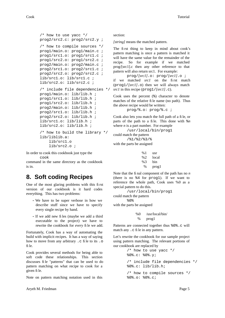```
/* how to use yacc */
prog2/src2.c: prog2/src2.y ;
/* how to compile sources */
prog1/main.o: prog1/main.c ;
prog1/src1.o: prog1/src1.c ;
prog1/src2.o: prog1/src2.c ;
prog2/main.o: prog2/main.c ;
prog2/src1.o: prog2/src1.c ;
prog2/src2.o: prog2/src2.c ;
lib/src1.o: lib/src1.c ;
lib/src2.o: lib/src2.c ;
/* include file dependencies */
prog1/main.o: lib/lib.h ;
prog1/src1.o: lib/lib.h ;
prog1/src2.o: lib/lib.h ;
prog2/main.o: lib/lib.h ;
prog2/src1.o: lib/lib.h ;
prog2/src2.o: lib/lib.h ;
lib/src1.o: lib/lib.h ;
lib/src2.o: lib/lib.h ;
/* how to build the library */
lib/liblib.a:
    lib/src1.o
    lib/src2.o ;
```
In order to cook this cookbook just type the

cook

command in the same directory as the cookbook is in.

## **8. Soft coding Recipes**

One of the most glaring problems with this first version of our cookbook is it hard codes everything. This has two problems:

- We have to be super verbose in how we describe stuff since we have to specify every single recipe by hand.
- If we add new files (maybe we add a third executable to the project) we have to rewrite the cookbook for *every* file we add.

Fortunately, Cook has a way of automating the build with implicit recipes. It has a way of saying how to move from any arbitrary .c file to its .o file.

Cook provides several methods for being able to soft code these relationships. This section discusses file "patterns" that can be used to do pattern matching on what recipe to cook for a given file.

Note on pattern matching notation used in this

section:

*[string]* means the matched pattern.

The first thing to keep in mind about cook's pattern matching is once a pattern is matched it will have the same value for the remainder of the recipe. So for example if we matched prog/[src1].c then any other reference to that pattern will also return src1. For example:

prog/*[src1]*.o: prog/*[src1]*.o ; if we matched *src1* on the first match (prog1/*[src1]*.o) then we will always match *src1* in this recipe (prog1/*[src1]*.c).

Cook uses the percent (%) character to denote matches of the relative file name (no path). Thus the above recipe would be written:

prog/%.o: prog/%.c ;

Cook also lets you match the full path of a file, or parts of the path to a file. This done with %*n* where  $n$  is a part number. For example

/usr/local/bin/prog1

could match the pattern /%1/%2/%3/%

with the parts be assigned

| %1   | usr   |
|------|-------|
| %2   | local |
| %3   | bin   |
| $\%$ | progl |

Note that the final component of the path has no *n* (there is no %4 for prog1). If we want to reference the whole path, Cook uses %0 as a special pattern to do this.

/usr/local/bin/prog1 could match the pattern %0%

with the parts be assigned

%0 /usr/local/bin/ % prog1

Patterns are connected together thus  $80$ 8.c will match any . c file in any pattern.

Let's rewrite the cookbook for our sample project using pattern matching. The relevant portions of our cookbook are replaced by

```
/* how to use yacc */
%0%.c: %0%.y;
/* include file dependencies */
%0%.c: lib/lib.h;
/* how to compile sources */
%0%.o: %0%.c;
```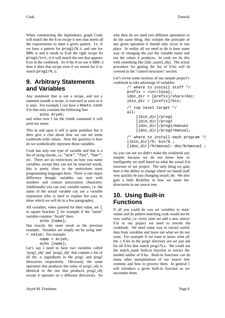When constructing the dependency graph Cook will match the the first recipe it sees that meets all the requirements to meet a given pattern. I.e. if we have a pattern for prog1/%.c and one for %0%.o and it needs to find the right recipe for prog1/src.o it will match the one that appears first in the cookbook. So if the first one is %0%.c then it does that recipe even if we meant for it to match prog1/%.c.

#### **9. Arbitrary Statements and Variables**

Any statement that is not a recipe, and not a statment inseide a recipe, is executed as soon as it is seen. For example I can have a Howto.cook file that only contains the following line:

echo Aryeh;

and when ever I ise the cook command it will print my name.

This in and upon it self is quite pointless but it does give a clue about how we can set some cookbook-wide values. Now the question is how do we symbolically represent those variables.

Cook has only one type of variable and that is a list of string literals, i.e. "ack", "foo", "bar", *etc*. There are no restrictions on how you name variables, except they can not be reserved words, this is pretty close to the restrictions most programming languages have. There is one major difference though: variables can start with numbers and contain punctuation characters. Additionally you can vary variable names, i.e. the name of the actual variable can use a variable expression (this is hard to explain but easy to show which we will do in a few paragraphs).

All variables, when queried for their value, are [ in square brackets ] for example if the "name" variable contains "Aryeh" then:

echo [name];

Has exactly the same result as the previous example. Variables are simply set by using var = value; For example:

```
name = Aryeh;
echo [name];
```
Let's say I need to have two variables called 'prog1\_obj' and 'prog2\_obj' that contain a list of all the .o ingredients in the prog1 and prog2 directories respectively. Obviously the same operation that produces the value of prog1\_obj is identical to the one that produces prog2\_obj except it operates on a different directories. So why then do we need two different operations to do the same thing, this violates the principle of any given operation it should only occur in one place. In reality all we need to do is have some way of changing the just the variable name and not the values it produces. In cook we do this with something like [[dir\_name]\_obj]. The actual procedure for getting the list of files will be covered in the "control structures" section.

Let's revise some sections of our sample project's cookbook to take advantage of variables:

```
/* where to install stuff */
prefix = /usr/local;
idoc_dir = [prefix]/share/doc;
ibin dir = [prefix]/bin;/* top level target */
all:
    [ibin_dir]/prog1
    [ibin_dir]/prog2
    [idoc_dir]/prog1/manual
    [idoc_dir]/prog2/manual;
/* where to install each program */
[ibin dir]/%: bin/% ;
[idoc_dir]/%/manual: doc/%/manual ;
```
As you can see we didn't make the cookbook any simpler because we do not know how to intelligently set stuff based on what the actual file structure of our project. The only thing we gain here is the ability to change where we install stuff very quickly be just changing install\_dir. We also gain a little flexibility in how we name the directories in our source tree.

### **10. Using Built-in Functions**

If all you could do was set variables to static values and do pattern matching cook would not be very useful, i.e. every time we add a new source file to our project we need to rewrite the cookbook. We need some way to extract useful data from variables and leave out what we do not want. For example if we want to know what all the .c files in the prog1 directory are we just ask for all files that match prog1/%.c. We could use the match\_mask built-in function to extract the needed sublist of files. Built-in functions can do many other manipulations of our source tree contents and how to process them. In general I will introduce a given built-in function as we encounter them.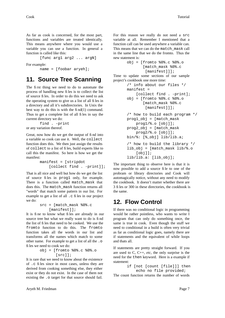As far as cook is concerned, for the most part, functions and variables are treated identically. This means anywhere where you would use a variable you can use a function. In general a function is called like this:

[func arg1 arg2 ... argN]

For example:

name = [foobar aryeh];

#### **11. Source Tree Scanning**

The first thing we need to do to automate the process of handling new files is to collect the list of source files. In order to do this we need to ask the operating system to give us a list of all files in a directory and all it's subdirectories. In Unix the best way to do this is with the find(1) command. Thus to get a complete list of all files in say the current directory we do:

find . -print or any variation thereof.

Great, now how do we get the output of find into a variable so cook can use it. Well, the collect function does this. We then just assign the results of collect to a list of files, build experts like to call this the manifest. So here is how we get the manifest:

> manifest = [stripdot [collect find . -print]];

That is all nice and well but how do we get the list of source files in prog1 only, for example. There is a function called match mask that does this. The match\_mask function returns all "words" that match some pattern in our list. For example to get a list of all . c files in our project we do:

```
src = [match_mask %0%.c
    [manifest]];
```
It is fine to know what files are already in our source tree but what we really want to do is find the list of files that need to be cooked. We use the fromto function to do this. The fromto function takes all the words in our list and transforms all the names which match to some other name. For example to get a list of all the .o files we need to cook we do:

```
obj = [fromto %0%.c %0%.o
       [src]];
```
It is rare that we need to know about the existence of .c files since in most cases, unless they are derived from cooking something else, they either exist or they do not exist. In the case of them not existing the .o target for that source should fail.

For this reason we really do not need a src variable at all. Remember I mentioned that a function call can be used anywhere a variable can. This means that we can do the match mask call in the same line that we do the fromto. Thus the new statement is:

```
obj = [fromto %0%.c %0%.o
       [match_mask %0%.c
        [manifest]]];
```
Time to update some sections of our sample project's cookbook one more time:

```
/* info about our files */
manifest =
    [collect find . -print];
obj = [fromto %0%.c %0%.o
       [match_mask %0%.c
        [manifest]]];
/* how to build each program */
prog1_obj = [match_mask
    prog1/%.o [obj]];
prog2_obj = [match_mask
    prog2/%.o [obj]];
bin/%: [%_obj] lib/lib.a;
/* how to build the library */
lib obj = [match_mask lib/%.o
    [obj];
lib/lib.a: [lib_obj];
```
The important thing to observe here is that it is now possible to add a source file to one of the probram or library directories and Cook will automagically notice, without any need to modify the cookbook. It doesn't matter whether there are 3 files or 300 in these directories, the cookbook is the same.

#### **12. Flow Control**

If there was no conditional logic in programming would be rather pointless, who wants to write I program that can only do something once, the same is true in cook. Even though the stuff we need to conditional in a build is often very trivial as far as conditional logic goes, namely there are if statements and the equivalent of while loops and thats all.

If statements are pretty straight forward. If you are used to C, C++, *etc*, the only surprise is the need for the then keyword. Here is a example if statement:

```
if [not [count [file]]] then
    echo no file provided;
```
The count function returns the number of words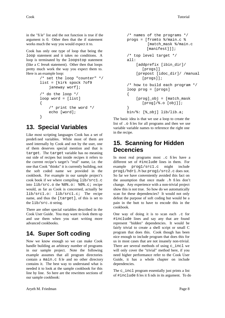in the "file" list and the not function is true if the argument is 0. Other then that the if statement works much the way you would expect it to.

Cook has only one type of loop that being the loop statement and it takes no conditions. A loop is terminated by the loopstop statement (like a C *break* statement). Other then that loops pretty much work the way you expect them to. Here is an example loop:

```
/* set the loop "counter" */
list = [kirk spock 7of9
    janeway worf];
/* do the loop */loop word = [list]
{
    /* print the word */
    echo [word];
}
```
# **13. Special Variables**

Like most scripting languages Cook has a set of predefined variables. While most of them are used internally by Cook and not by the user, one of them deserves special mention and that is target. The target variable has no meaning out side of recipes but inside recipes it refers to the current recipe's target's "real" name, i.e. the one that Cook "thinks" it is currently building, not the soft coded name we provided in the cookbook. For example in our sample project's cook book if we where compiling lib/src1.c into lib/src.o the %0%.o: %0%.c; recipe would, as far as Cook is concerned, actually be lib/src1.o: lib/src1.c; The recipe name, and thus the [target], of this is set to the lib/src.o string.

There are other special variables described in the Cook User Guide. You may want to look them up and use them when you start writing more advanced cookbooks.

## **14. Super Soft coding**

Now we know enough so we can make Cook handle building an arbitrary number of programs in our sample project. Note the following example assumes that all program directories contain a main.c file and no other directory contains it. The best way to understand what is needed it to look at the sample cookbook for this line by line. So here are the rewritten sections of our sample cookbook:

```
/* names of the programs */
progs = [fromto %/main.c %
         [match_mask %/main.c
         [manifest]]];
/* top level target */
all:
    [addprefix [ibin_dir]/
       [progs]]
    [prepost [idoc_dir]/ /manual
       [progs]];
/* how to build each program */
loop prog = [progs]
{
    [prog] obj = [match_mask
       [prog]/%.o [obj]];
}
bin/%: [% obj] lib/lib.a;
```
The basic idea is that we use a loop to create the list of .o files for all programs and then we use variable variable names to reference the right one in the recipe.

## **15. Scanning for Hidden Decencies**

In most real programs most .c files have a different set of #include lines in them. For example prog1/src1.c might include prog1/hdr1.h but prog1/src2.c does not. So far we have conveniently avoided this fact on the assumption that once made .h files don't change. Any experience with a non-trivial project show this is not true. So how do we automatically scan for these dependencies? It would not only defeat the purpose of soft coding but would be a pain in the butt to have to encode this in the cookbook.

One way of doing it is to scan each .c for #include lines and say any that are found represent "hidden" dependencies. It would be fairly trivial to create a shell script or small C program that does this. Cook though has been nice enough to include program that does this for us in most cases that are not insanely non-trivial. There are several methods of using c incl we will only cover the "trivial" method here, if you need higher performance refer to the Cook User Guide, it has a whole chapter on include dependencies.

The  $c$  incl program essentially just prints a list of #include files it finds in its argument. To do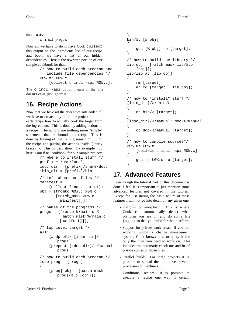c\_incl *prog*.c

Now all we have to do is have Cook collect this output on the ingredients list of our recipe and boom we have a list of our hidden dependencies. Here is the rewritten portion of our sample cookbook for that:

```
/* how to build each program and
   include file dependencies */
%0%.o: %0%.c
    [collect c_incl -api %0%.c];
```
The c\_incl -api option means if the file doesn't exist, just ignore it.

## **16. Recipe Actions**

Now that we have all the decencies soft coded all we have to do actually build our project is to tell each recipe how to actually cook the target from the ingredients. This is done by adding actions to a recipe. The actions are nothing more "simple" statements that are bound to a recipe. This is done by leaving off the trailing semicolon  $(i)$  on the recipe and putting the actions inside { curly braces }. This is best shown by example. So here is our final cookbook for our sample project:

```
/* where to install stuff */
prefix = /usr/local;
idoc dir = [prefix]/share/doc;ibin_dir = [prefix]/bin;
/* info about our files */
manifest =
    [collect find . -print];
obj = [fromto %0%.c %0%.o
       [match_mask %0%.c
        [manifest]]];
/* names of the programs */
progs = [fromto %/main.c %
         [match_mask %/main.c
         [manifest]]];
/* top level target */
all:
    [addprefix [ibin_dir]/
       [progs]]
    [prepost [idoc_dir]/ /manual
       [progs]];
/* how to build each program */
loop prog = [progs]
{
    [proq] obj = [match \, mask][prog]/\$.o [obj]];
```

```
}
bin/%: [%_obj]
{
    gcc [%_obj] -o [target];
}
/* how to build the library */
lib obj = [match mask lib/|.o][obj];
lib/lib.a: [lib_obj]
{
    rm [target];
    ar cq [target] [lib_obj];
}
/* how to "install" stuff */
[ibin_dir]/%: bin/%
{
    cp bin/% [target];
}
[idoc dir]/%/manual: doc/%/manual
{
    cp doc/%/manual [target];
}
/* how to compile sources*/
%0%.o: %0%.c
    [collect c_incl -api %0%.c]
{
    gcc -c %0%.c -o [target];
}
```
# **17. Advanced Features**

Even though the tutorial part of this document is done, I feel it is important to just mention some advanced features not covered in the tutorial. Except for just stating the basic nature of these features I will not go into detail on any given one.

- Platform polymorphism. This is where Cook can automatically detect what platform you are on and do some file juggling so that you build for that platform.
- Support for private work areas. If you are working within a change management system, Cook knows how to query it for only the files you need to work on. This includes the automatic check-out and in of private copies of those files.
- Parallel builds. For large projects it is possible to spread the build over several processors or machines.

Conditional recipes. It is possible to execute a recipe one way if certain